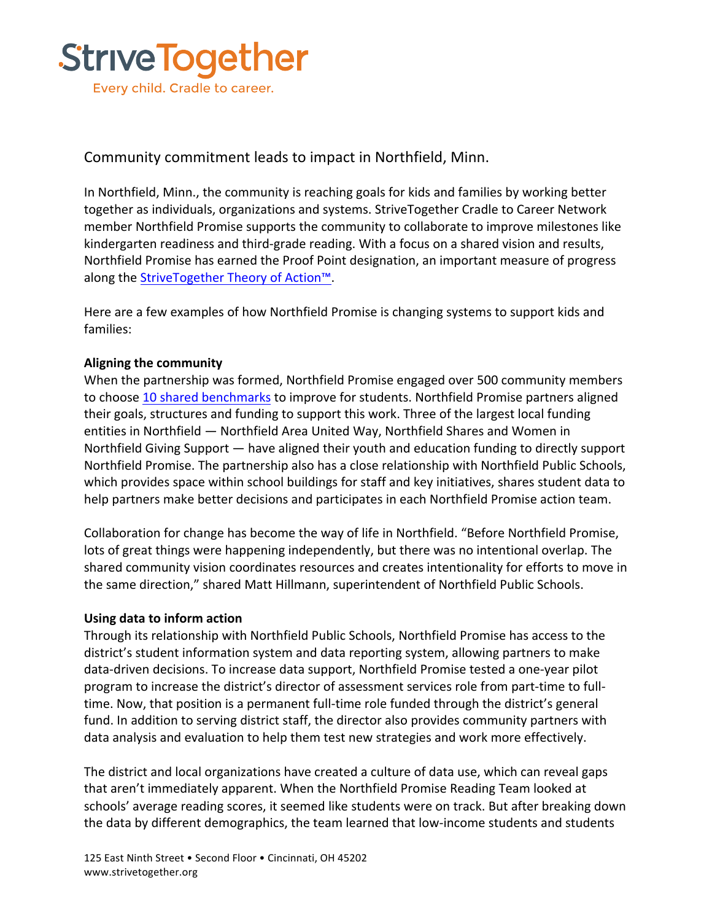

## Community commitment leads to impact in Northfield, Minn.

In Northfield, Minn., the community is reaching goals for kids and families by working better together as individuals, organizations and systems. StriveTogether Cradle to Career Network member Northfield Promise supports the community to collaborate to improve milestones like kindergarten readiness and third-grade reading. With a focus on a shared vision and results, Northfield Promise has earned the Proof Point designation, an important measure of progress along the StriveTogether Theory of Action™.

Here are a few examples of how Northfield Promise is changing systems to support kids and families:

## **Aligning the community**

When the partnership was formed, Northfield Promise engaged over 500 community members to choose 10 shared benchmarks to improve for students. Northfield Promise partners aligned their goals, structures and funding to support this work. Three of the largest local funding entities in Northfield — Northfield Area United Way, Northfield Shares and Women in Northfield Giving Support  $-$  have aligned their youth and education funding to directly support Northfield Promise. The partnership also has a close relationship with Northfield Public Schools, which provides space within school buildings for staff and key initiatives, shares student data to help partners make better decisions and participates in each Northfield Promise action team.

Collaboration for change has become the way of life in Northfield. "Before Northfield Promise, lots of great things were happening independently, but there was no intentional overlap. The shared community vision coordinates resources and creates intentionality for efforts to move in the same direction," shared Matt Hillmann, superintendent of Northfield Public Schools.

## **Using data to inform action**

Through its relationship with Northfield Public Schools, Northfield Promise has access to the district's student information system and data reporting system, allowing partners to make data-driven decisions. To increase data support, Northfield Promise tested a one-year pilot program to increase the district's director of assessment services role from part-time to fulltime. Now, that position is a permanent full-time role funded through the district's general fund. In addition to serving district staff, the director also provides community partners with data analysis and evaluation to help them test new strategies and work more effectively.

The district and local organizations have created a culture of data use, which can reveal gaps that aren't immediately apparent. When the Northfield Promise Reading Team looked at schools' average reading scores, it seemed like students were on track. But after breaking down the data by different demographics, the team learned that low-income students and students